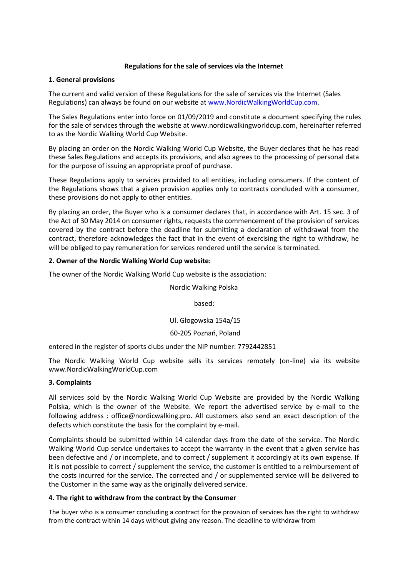### **Regulations for the sale of services via the Internet**

### **1. General provisions**

The current and valid version of these Regulations for the sale of services via the Internet (Sales Regulations) can always be found on our website at [www.NordicWalkingWorldCup.com.](http://www.nordicwalkingworldcup.com/)

The Sales Regulations enter into force on 01/09/2019 and constitute a document specifying the rules for the sale of services through the website a[t www.nordicwalkingworldcup.com, h](http://www.nordicwalkingworldcup.com/)ereinafter referred to as the Nordic Walking World Cup Website.

By placing an order on the Nordic Walking World Cup Website, the Buyer declares that he has read these Sales Regulations and accepts its provisions, and also agrees to the processing of personal data for the purpose of issuing an appropriate proof of purchase.

These Regulations apply to services provided to all entities, including consumers. If the content of the Regulations shows that a given provision applies only to contracts concluded with a consumer, these provisions do not apply to other entities.

By placing an order, the Buyer who is a consumer declares that, in accordance with Art. 15 sec. 3 of the Act of 30 May 2014 on consumer rights, requests the commencement of the provision of services covered by the contract before the deadline for submitting a declaration of withdrawal from the contract, therefore acknowledges the fact that in the event of exercising the right to withdraw, he will be obliged to pay remuneration for services rendered until the service is terminated.

# **2. Owner of the Nordic Walking World Cup website:**

The owner of the Nordic Walking World Cup website is the association:

Nordic Walking Polska

based:

Ul. Głogowska 154a/15

# 60-205 Poznań, Poland

entered in the register of sports clubs under the NIP number: 7792442851

The Nordic Walking World Cup website sells its services remotely (on-line) via its website www.NordicWalkingWorldCup.com

# **3. Complaints**

All services sold by the Nordic Walking World Cup Website are provided by the Nordic Walking Polska, which is the owner of the Website. We report the advertised service by e-mail to the following address : office@nordicwalking.pro. All customers also send an exact description of the defects which constitute the basis for the complaint by e-mail.

Complaints should be submitted within 14 calendar days from the date of the service. The Nordic Walking World Cup service undertakes to accept the warranty in the event that a given service has been defective and / or incomplete, and to correct / supplement it accordingly at its own expense. If it is not possible to correct / supplement the service, the customer is entitled to a reimbursement of the costs incurred for the service. The corrected and / or supplemented service will be delivered to the Customer in the same way as the originally delivered service.

# **4. The right to withdraw from the contract by the Consumer**

The buyer who is a consumer concluding a contract for the provision of services has the right to withdraw from the contract within 14 days without giving any reason. The deadline to withdraw from